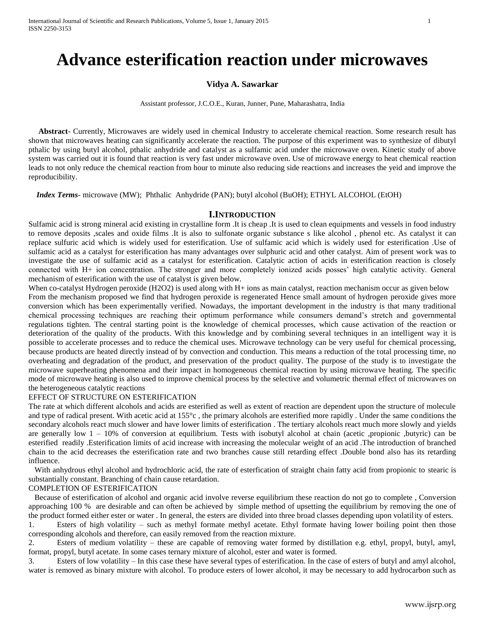# **Advance esterification reaction under microwaves**

# **Vidya A. Sawarkar**

Assistant professor, J.C.O.E., Kuran, Junner, Pune, Maharashatra, India

 **Abstract**- Currently, Microwaves are widely used in chemical Industry to accelerate chemical reaction. Some research result has shown that microwaves heating can significantly accelerate the reaction. The purpose of this experiment was to synthesize of dibutyl pthalic by using butyl alcohol, pthalic anhydride and catalyst as a sulfamic acid under the microwave oven. Kinetic study of above system was carried out it is found that reaction is very fast under microwave oven. Use of microwave energy to heat chemical reaction leads to not only reduce the chemical reaction from hour to minute also reducing side reactions and increases the yeid and improve the reproducibility.

 *Index Terms*- microwave (MW); Phthalic Anhydride (PAN); butyl alcohol (BuOH); ETHYL ALCOHOL (EtOH)

## **I.INTRODUCTION**

Sulfamic acid is strong mineral acid existing in crystalline form .It is cheap .It is used to clean equipments and vessels in food industry to remove deposits ,scales and oxide films .It is also to sulfonate organic substance s like alcohol , phenol etc. As catalyst it can replace sulfuric acid which is widely used for esterification. Use of sulfamic acid which is widely used for esterification .Use of sulfamic acid as a catalyst for esterification has many advantages over sulphuric acid and other catalyst. Aim of present work was to investigate the use of sulfamic acid as a catalyst for esterification. Catalytic action of acids in esterification reaction is closely connected with H+ ion concentration. The stronger and more completely ionized acids posses" high catalytic activity. General mechanism of esterification with the use of catalyst is given below.

When co-catalyst Hydrogen peroxide (H2O2) is used along with H+ ions as main catalyst, reaction mechanism occur as given below From the mechanism proposed we find that hydrogen peroxide is regenerated Hence small amount of hydrogen peroxide gives more conversion which has been experimentally verified. Nowadays, the important development in the industry is that many traditional chemical processing techniques are reaching their optimum performance while consumers demand"s stretch and governmental regulations tighten. The central starting point is the knowledge of chemical processes, which cause activation of the reaction or deterioration of the quality of the products. With this knowledge and by combining several techniques in an intelligent way it is possible to accelerate processes and to reduce the chemical uses. Microwave technology can be very useful for chemical processing, because products are heated directly instead of by convection and conduction. This means a reduction of the total processing time, no overheating and degradation of the product, and preservation of the product quality. The purpose of the study is to investigate the microwave superheating phenomena and their impact in homogeneous chemical reaction by using microwave heating. The specific mode of microwave heating is also used to improve chemical process by the selective and volumetric thermal effect of microwaves on the heterogeneous catalytic reactions

## EFFECT OF STRUCTURE ON ESTERIFICATION

The rate at which different alcohols and acids are esterified as well as extent of reaction are dependent upon the structure of molecule and type of radical present. With acetic acid at 155°c , the primary alcohols are esterified more rapidly . Under the same conditions the secondary alcohols react much slower and have lower limits of esterification . The tertiary alcohols react much more slowly and yields are generally low 1 – 10% of conversion at equilibrium. Tests with isobutyl alcohol at chain (acetic ,propionic ,butyric) can be esterified readily .Esterification limits of acid increase with increasing the molecular weight of an acid .The introduction of branched chain to the acid decreases the esterification rate and two branches cause still retarding effect .Double bond also has its retarding influence.

 With anhydrous ethyl alcohol and hydrochloric acid, the rate of esterfication of straight chain fatty acid from propionic to stearic is substantially constant. Branching of chain cause retardation.

## COMPLETION OF ESTERIFICATION

 Because of esterification of alcohol and organic acid involve reverse equilibrium these reaction do not go to complete , Conversion approaching 100 % are desirable and can often be achieved by simple method of upsetting the equilibrium by removing the one of the product formed either ester or water . In general, the esters are divided into three broad classes depending upon volatility of esters.

1. Esters of high volatility – such as methyl formate methyl acetate. Ethyl formate having lower boiling point then those corresponding alcohols and therefore, can easily removed from the reaction mixture.

2. Esters of medium volatility – these are capable of removing water formed by distillation e.g. ethyl, propyl, butyl, amyl, format, propyl, butyl acetate. In some cases ternary mixture of alcohol, ester and water is formed.

3. Esters of low volatility – In this case these have several types of esterification. In the case of esters of butyl and amyl alcohol, water is removed as binary mixture with alcohol. To produce esters of lower alcohol, it may be necessary to add hydrocarbon such as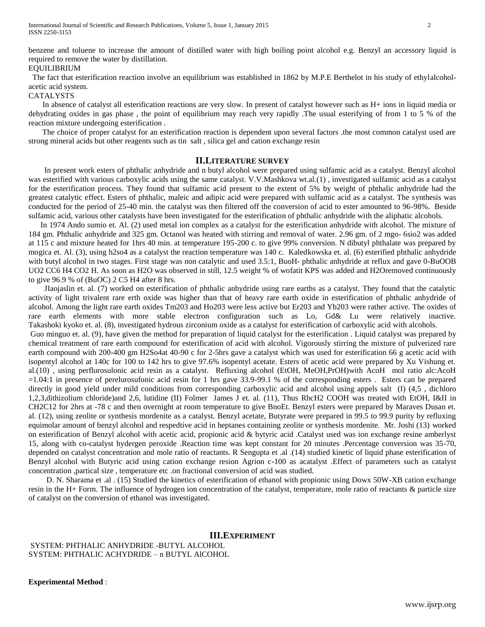benzene and toluene to increase the amount of distilled water with high boiling point alcohol e.g. Benzyl an accessory liquid is required to remove the water by distillation.

## EQUILIBRIUM

 The fact that esterification reaction involve an equilibrium was established in 1862 by M.P.E Berthelot in his study of ethylalcoholacetic acid system.

# CATALYSTS

 In absence of catalyst all esterification reactions are very slow. In present of catalyst however such as H+ ions in liquid media or dehydrating oxides in gas phase , the point of equilibrium may reach very rapidly .The usual esterifying of from 1 to 5 % of the reaction mixture undergoing esterification .

 The choice of proper catalyst for an esterification reaction is dependent upon several factors .the most common catalyst used are strong mineral acids but other reagents such as tin salt , silica gel and cation exchange resin

## **II.LITERATURE SURVEY**

 In present work esters of phthalic anhydride and n butyl alcohol were prepared using sulfamic acid as a catalyst. Benzyl alcohol was esterified with various carboxylic acids using the same catalyst. V.V.Mashkova wt.al.(1) , investigated sulfamic acid as a catalyst for the esterification process. They found that sulfamic acid present to the extent of 5% by weight of phthalic anhydride had the greatest catalytic effect. Esters of phthalic, maleic and adipic acid were prepared with sulfamic acid as a catalyst. The synthesis was conducted for the period of 25-40 min. the catalyst was then filtered off the conversion of acid to ester amounted to 96-98%. Beside sulfamic acid, various other catalysts have been investigated for the esterification of phthalic anhydride with the aliphatic alcohols.

 In 1974 Ando sumio et. Al. (2) used metal ion complex as a catalyst for the esterification anhydride with alcohol. The mixture of 184 gm. Phthalic anhydride and 325 gm. Octanol was heated with stirring and removal of water. 2.96 gm. of 2 mgo- 6sio2 was added at 115 c and mixture heated for 1hrs 40 min. at temperature 195-200 c. to give 99% conversion. N dibutyl phthalate was prepared by mogica et. Al. (3), using h2so4 as a catalyst the reaction temperature was 140 c. Kaledkowska et. al. (6) esterified phthalic anhydride with butyl alcohol in two stages. First stage was non catalytic and used 3.5:1, BuoH- phthalic anhydride at reflux and gave 0-BuOOB UO2 CC6 H4 CO2 H. As soon as H2O was observed in still, 12.5 weight % of wofatit KPS was added and H2Oremoved continuously to give  $96.9\%$  of (BuOC) 2 C5 H4 after 8 hrs.

 JIaojaslin et. al. (7) worked on esterification of phthalic anhydride using rare earths as a catalyst. They found that the catalytic activity of light trivalent rare erth oxide was higher than that of heavy rare earth oxide in esterification of phthalic anhydride of alcohol. Among the light rare earth oxides Tm203 and Ho203 were less active but Er203 and Yb203 were rather active. The oxides of rare earth elements with more stable electron configuration such as Lo, Gd& Lu were relatively inactive. Takashoki kyoko et. al. (8), investigated hydrous zirconium oxide as a catalyst for esterification of carboxylic acid with alcohols.

Guo minguo et. al. (9), have given the method for preparation of liquid catalyst for the esterification . Liquid catalyst was prepared by chemical treatment of rare earth compound for esterification of acid with alcohol. Vigorously stirring the mixture of pulverized rare earth compound with 200-400 gm H2So4at 40-90 c for 2-5hrs gave a catalyst which was used for esterification 66 g acetic acid with isopentyl alcohol at 140c for 100 to 142 hrs to give 97.6% isopentyl acetate. Esters of acetic acid were prepared by Xu Vishung et. al.(10) , using perflurosulonic acid resin as a catalyst. Refluxing alcohol (EtOH, MeOH,PrOH)with AcoH mol ratio alc:AcoH =1.04:1 in presence of perelurosufonic acid resin for 1 hrs gave 33.9-99.1 % of the corresponding esters . Esters can be prepared directly in good yield under mild conditions from corresponding carboxylic acid and alcohol using appels salt (I) (4,5 , dichloro 1,2,3,dithizolium chloride)and 2,6, lutidine (II) Folmer James J et. al. (11), Thus RhcH2 COOH was treated with EtOH, I&II in CH2C12 for 2hrs at -78 c and then overnight at room temperature to give BnoEt. Benzyl esters were prepared by Maraves Dusan et. al. (12), using zeolite or synthesis mordenite as a catalyst. Benzyl acetate, Butyrate were prepared in 99.5 to 99.9 purity by refluxing equimolar amount of benzyl alcohol and respedtive acid in heptanes containing zeolite or synthesis mordenite. Mr. Joshi (13) worked on esterification of Benzyl alcohol with acetic acid, propionic acid & bytyric acid .Catalyst used was ion exchange resine amberlyst 15, along with co-catalyst hydergen peroxide .Reaction time was kept constant for 20 minutes .Percentage conversion was 35-70, depended on catalyst concentration and mole ratio of reactants. R Sengupta et .al .(14) studied kinetic of liquid phase esterification of Benzyl alcohol with Butyric acid using cation exchange resion Agrion c-100 as acatalyst .Effect of parameters such as catalyst concentration ,partical size , temperature etc .on fractional conversion of acid was studied.

 D. N. Sharama et .al . (15) Studied the kinetics of esterification of ethanol with propionic using Dowx 50W-XB cation exchange resin in the H+ Form. The influence of hydrogen ion concentration of the catalyst, temperature, mole ratio of reactants & particle size of catalyst on the conversion of ethanol was investigated.

## **III.EXPERIMENT**

SYSTEM: PHTHALIC ANHYDRIDE -BUTYL ALCOHOL SYSTEM: PHTHALIC ACHYDRIDE – n BUTYL AlCOHOL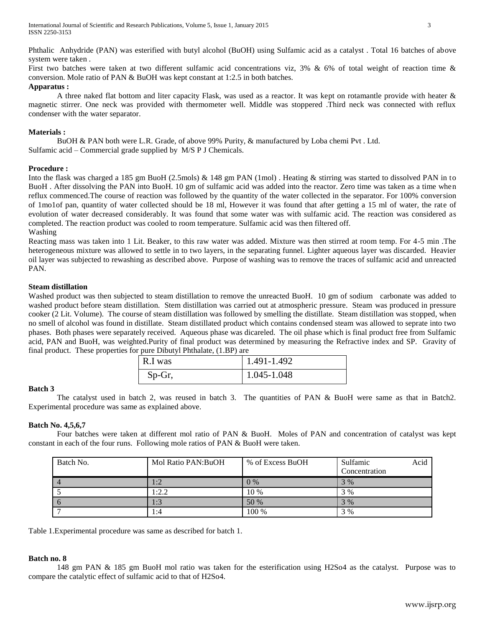Phthalic Anhydride (PAN) was esterified with butyl alcohol (BuOH) using Sulfamic acid as a catalyst . Total 16 batches of above system were taken .

First two batches were taken at two different sulfamic acid concentrations viz, 3% & 6% of total weight of reaction time & conversion. Mole ratio of PAN & BuOH was kept constant at 1:2.5 in both batches.

# **Apparatus :**

A three naked flat bottom and liter capacity Flask, was used as a reactor. It was kept on rotamantle provide with heater & magnetic stirrer. One neck was provided with thermometer well. Middle was stoppered .Third neck was connected with reflux condenser with the water separator.

# **Materials :**

BuOH & PAN both were L.R. Grade, of above 99% Purity, & manufactured by Loba chemi Pvt . Ltd. Sulfamic acid – Commercial grade supplied by M/S P J Chemicals.

## **Procedure :**

Into the flask was charged a 185 gm BuoH (2.5mols) & 148 gm PAN (1mol) . Heating & stirring was started to dissolved PAN in to BuoH . After dissolving the PAN into BuoH. 10 gm of sulfamic acid was added into the reactor. Zero time was taken as a time when reflux commenced.The course of reaction was followed by the quantity of the water collected in the separator. For 100% conversion of 1mo1of pan, quantity of water collected should be 18 ml, However it was found that after getting a 15 ml of water, the rate of evolution of water decreased considerably. It was found that some water was with sulfamic acid. The reaction was considered as completed. The reaction product was cooled to room temperature. Sulfamic acid was then filtered off. Washing

Reacting mass was taken into 1 Lit. Beaker, to this raw water was added. Mixture was then stirred at room temp. For 4-5 min .The heterogeneous mixture was allowed to settle in to two layers, in the separating funnel. Lighter aqueous layer was discarded. Heavier oil layer was subjected to rewashing as described above. Purpose of washing was to remove the traces of sulfamic acid and unreacted PAN.

## **Steam distillation**

Washed product was then subjected to steam distillation to remove the unreacted BuoH. 10 gm of sodium carbonate was added to washed product before steam distillation. Stem distillation was carried out at atmospheric pressure. Steam was produced in pressure cooker (2 Lit. Volume). The course of steam distillation was followed by smelling the distillate. Steam distillation was stopped, when no smell of alcohol was found in distillate. Steam distillated product which contains condensed steam was allowed to seprate into two phases. Both phases were separately received. Aqueous phase was dicareled. The oil phase which is final product free from Sulfamic acid, PAN and BuoH, was weighted.Purity of final product was determined by measuring the Refractive index and SP. Gravity of final product. These properties for pure Dibutyl Phthalate, (1.BP) are

| R.I was | 1.491-1.492 |
|---------|-------------|
| Sp-Gr,  | 1.045-1.048 |

## **Batch 3**

The catalyst used in batch 2, was reused in batch 3. The quantities of PAN & BuoH were same as that in Batch2. Experimental procedure was same as explained above.

# **Batch No. 4,5,6,7**

Four batches were taken at different mol ratio of PAN & BuoH. Moles of PAN and concentration of catalyst was kept constant in each of the four runs. Following mole ratios of PAN & BuoH were taken.

| Batch No. | Mol Ratio PAN: BuOH | % of Excess BuOH | Sulfamic<br>Acid<br>Concentration |
|-----------|---------------------|------------------|-----------------------------------|
|           | 1:2                 | $0\%$            | 3%                                |
|           | 1:2.2               | 10 %             | 3 %                               |
| $\Omega$  | 1:3                 | 50 %             | 3%                                |
|           | 1:4                 | 100 %            | 3 %                               |

Table 1.Experimental procedure was same as described for batch 1.

# **Batch no. 8**

148 gm PAN & 185 gm BuoH mol ratio was taken for the esterification using H2So4 as the catalyst. Purpose was to compare the catalytic effect of sulfamic acid to that of H2So4.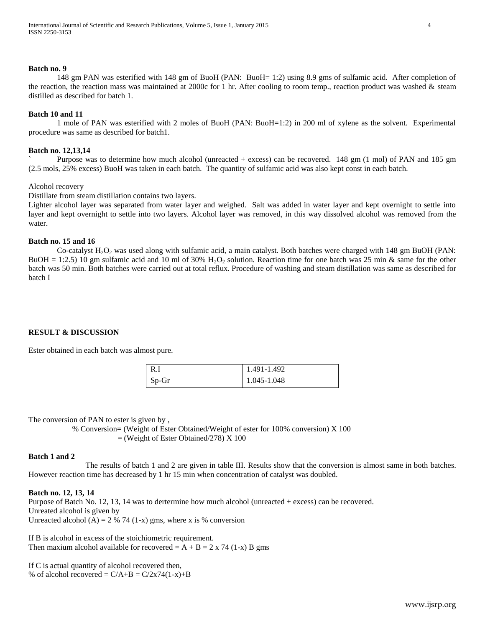#### **Batch no. 9**

148 gm PAN was esterified with 148 gm of BuoH (PAN: BuoH= 1:2) using 8.9 gms of sulfamic acid. After completion of the reaction, the reaction mass was maintained at 2000c for 1 hr. After cooling to room temp., reaction product was washed & steam distilled as described for batch 1.

## **Batch 10 and 11**

1 mole of PAN was esterified with 2 moles of BuoH (PAN: BuoH=1:2) in 200 ml of xylene as the solvent. Experimental procedure was same as described for batch1.

#### **Batch no. 12,13,14**

` Purpose was to determine how much alcohol (unreacted + excess) can be recovered. 148 gm (1 mol) of PAN and 185 gm (2.5 mols, 25% excess) BuoH was taken in each batch. The quantity of sulfamic acid was also kept const in each batch.

## Alcohol recovery

Distillate from steam distillation contains two layers.

Lighter alcohol layer was separated from water layer and weighed. Salt was added in water layer and kept overnight to settle into layer and kept overnight to settle into two layers. Alcohol layer was removed, in this way dissolved alcohol was removed from the water.

# **Batch no. 15 and 16**

Co-catalyst  $H_2O_2$  was used along with sulfamic acid, a main catalyst. Both batches were charged with 148 gm BuOH (PAN: BuOH = 1:2.5) 10 gm sulfamic acid and 10 ml of 30%  $H_2O_2$  solution. Reaction time for one batch was 25 min & same for the other batch was 50 min. Both batches were carried out at total reflux. Procedure of washing and steam distillation was same as described for batch I

## **RESULT & DISCUSSION**

Ester obtained in each batch was almost pure.

| - R.    | 1.491-1.492 |
|---------|-------------|
| $Sp-Gr$ | 1.045-1.048 |

The conversion of PAN to ester is given by,

 % Conversion= (Weight of Ester Obtained/Weight of ester for 100% conversion) X 100 = (Weight of Ester Obtained/278) X 100

## **Batch 1 and 2**

The results of batch 1 and 2 are given in table III. Results show that the conversion is almost same in both batches. However reaction time has decreased by 1 hr 15 min when concentration of catalyst was doubled.

#### **Batch no. 12, 13, 14**

Purpose of Batch No. 12, 13, 14 was to dertermine how much alcohol (unreacted + excess) can be recovered. Unreated alcohol is given by Unreacted alcohol (A) = 2 % 74 (1-x) gms, where x is % conversion

If B is alcohol in excess of the stoichiometric requirement. Then maxium alcohol available for recovered  $= A + B = 2 \times 74 (1-x) B$  gms

If C is actual quantity of alcohol recovered then, % of alcohol recovered =  $C/A+B = C/2x74(1-x)+B$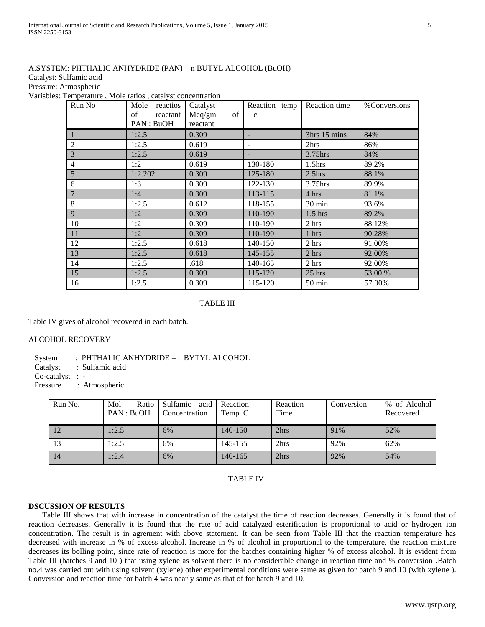# A.SYSTEM: PHTHALIC ANHYDRIDE (PAN) – n BUTYL ALCOHOL (BuOH)

Catalyst: Sulfamic acid

Pressure: Atmospheric

Varisbles: Temperature , Mole ratios , catalyst concentration

| Run No         | Mole<br>reactios<br>of<br>reactant<br>PAN : BuOH | Catalyst<br>Meq/gm<br>of<br>reactant | Reaction temp<br>$- c$ | Reaction time      | %Conversions |
|----------------|--------------------------------------------------|--------------------------------------|------------------------|--------------------|--------------|
|                | 1:2.5                                            | 0.309                                |                        | 3hrs 15 mins       | 84%          |
| $\overline{2}$ | 1:2.5                                            | 0.619                                |                        | 2hrs               | 86%          |
| 3              | 1:2.5                                            | 0.619                                |                        | 3.75hrs            | 84%          |
| $\overline{4}$ | 1:2                                              | 0.619                                | 130-180                | 1.5 <sub>hrs</sub> | 89.2%        |
| 5              | 1:2.202                                          | 0.309                                | 125-180                | 2.5 <sub>hrs</sub> | 88.1%        |
| 6              | 1:3                                              | 0.309                                | 122-130                | $3.75$ hrs         | 89.9%        |
| 7              | 1:4                                              | 0.309                                | 113-115                | 4 hrs              | 81.1%        |
| 8              | 1:2.5                                            | 0.612                                | 118-155                | $30 \text{ min}$   | 93.6%        |
| 9              | 1:2                                              | 0.309                                | 110-190                | $1.5$ hrs          | 89.2%        |
| 10             | 1:2                                              | 0.309                                | 110-190                | 2 hrs              | 88.12%       |
| 11             | 1:2                                              | 0.309                                | 110-190                | 1 hrs              | 90.28%       |
| 12             | 1:2.5                                            | 0.618                                | 140-150                | 2 hrs              | 91.00%       |
| 13             | 1:2.5                                            | 0.618                                | 145-155                | 2 hrs              | 92.00%       |
| 14             | 1:2.5                                            | .618                                 | 140-165                | 2 hrs              | 92.00%       |
| 15             | 1:2.5                                            | 0.309                                | 115-120                | $25$ hrs           | 53.00 %      |
| 16             | 1:2.5                                            | 0.309                                | 115-120                | $50 \text{ min}$   | 57.00%       |

## TABLE III

Table IV gives of alcohol recovered in each batch.

## ALCOHOL RECOVERY

System : PHTHALIC ANHYDRIDE – n BYTYL ALCOHOL

Catalyst : Sulfamic acid

Co-catalyst : -

Pressure : Atmospheric

| Run No. | Mol<br>Ratio<br>PAN : BuOH | acid<br>Sulfamic<br>Concentration | Reaction<br>Temp. C | Reaction<br>Time | Conversion | % of Alcohol<br>Recovered |
|---------|----------------------------|-----------------------------------|---------------------|------------------|------------|---------------------------|
| 12      | 1:2.5                      | 6%                                | 140-150             | 2hrs             | 91%        | 52%                       |
| 13      | 1:2.5                      | 6%                                | 145-155             | 2hrs             | 92%        | 62%                       |
| 14      | 1:2.4                      | 6%                                | $140 - 165$         | 2hrs             | 92%        | 54%                       |

TABLE IV

## **DSCUSSION OF RESULTS**

 Table III shows that with increase in concentration of the catalyst the time of reaction decreases. Generally it is found that of reaction decreases. Generally it is found that the rate of acid catalyzed esterification is proportional to acid or hydrogen ion concentration. The result is in agrement with above statement. It can be seen from Table III that the reaction temperature has decreased with increase in % of excess alcohol. Increase in % of alcohol in proportional to the temperature, the reaction mixture decreases its bolling point, since rate of reaction is more for the batches containing higher % of excess alcohol. It is evident from Table III (batches 9 and 10 ) that using xylene as solvent there is no considerable change in reaction time and % conversion .Batch no.4 was carried out with using solvent (xylene) other experimental conditions were same as given for batch 9 and 10 (with xylene ). Conversion and reaction time for batch 4 was nearly same as that of for batch 9 and 10.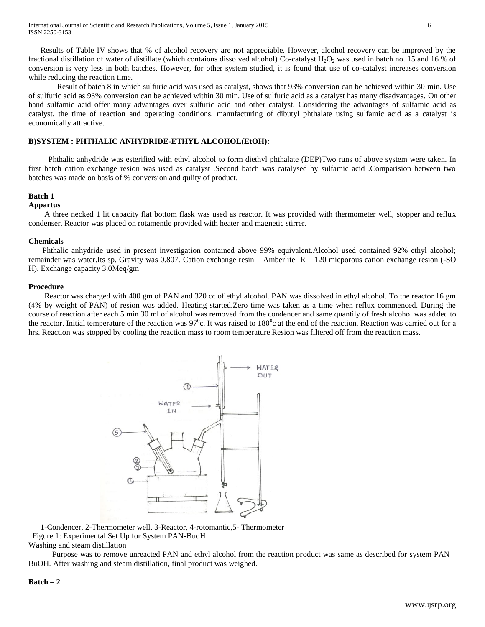Results of Table IV shows that % of alcohol recovery are not appreciable. However, alcohol recovery can be improved by the fractional distillation of water of distillate (which contaions dissolved alcohol) Co-catalyst  $H_2O_2$  was used in batch no. 15 and 16 % of conversion is very less in both batches. However, for other system studied, it is found that use of co-catalyst increases conversion while reducing the reaction time.

Result of batch 8 in which sulfuric acid was used as catalyst, shows that 93% conversion can be achieved within 30 min. Use of sulfuric acid as 93% conversion can be achieved within 30 min. Use of sulfuric acid as a catalyst has many disadvantages. On other hand sulfamic acid offer many advantages over sulfuric acid and other catalyst. Considering the advantages of sulfamic acid as catalyst, the time of reaction and operating conditions, manufacturing of dibutyl phthalate using sulfamic acid as a catalyst is economically attractive.

## **B)SYSTEM : PHTHALIC ANHYDRIDE-ETHYL ALCOHOL(EtOH):**

 Phthalic anhydride was esterified with ethyl alcohol to form diethyl phthalate (DEP)Two runs of above system were taken. In first batch cation exchange resion was used as catalyst .Second batch was catalysed by sulfamic acid .Comparision between two batches was made on basis of % conversion and qulity of product.

## **Batch 1**

## **Appartus**

 A three necked 1 lit capacity flat bottom flask was used as reactor. It was provided with thermometer well, stopper and reflux condenser. Reactor was placed on rotamentle provided with heater and magnetic stirrer.

## **Chemicals**

 Phthalic anhydride used in present investigation contained above 99% equivalent.Alcohol used contained 92% ethyl alcohol; remainder was water.Its sp. Gravity was 0.807. Cation exchange resin – Amberlite IR – 120 micporous cation exchange resion (-SO H). Exchange capacity 3.0Meq/gm

## **Procedure**

 Reactor was charged with 400 gm of PAN and 320 cc of ethyl alcohol. PAN was dissolved in ethyl alcohol. To the reactor 16 gm (4% by weight of PAN) of resion was added. Heating started.Zero time was taken as a time when reflux commenced. During the course of reaction after each 5 min 30 ml of alcohol was removed from the condencer and same quantily of fresh alcohol was added to the reactor. Initial temperature of the reaction was  $97^\circ$ c. It was raised to  $180^\circ$ c at the end of the reaction. Reaction was carried out for a hrs. Reaction was stopped by cooling the reaction mass to room temperature.Resion was filtered off from the reaction mass.



 1-Condencer, 2-Thermometer well, 3-Reactor, 4-rotomantic,5- Thermometer Figure 1: Experimental Set Up for System PAN-BuoH Washing and steam distillation

 Purpose was to remove unreacted PAN and ethyl alcohol from the reaction product was same as described for system PAN – BuOH. After washing and steam distillation, final product was weighed.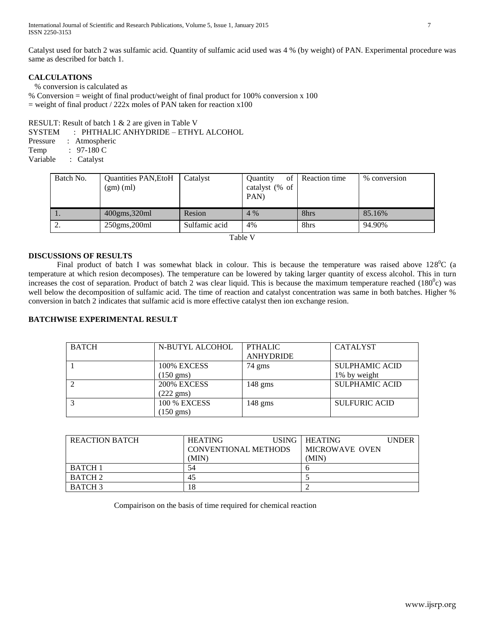Catalyst used for batch 2 was sulfamic acid. Quantity of sulfamic acid used was 4 % (by weight) of PAN. Experimental procedure was same as described for batch 1.

# **CALCULATIONS**

% conversion is calculated as

% Conversion = weight of final product/weight of final product for 100% conversion x 100  $=$  weight of final product / 222x moles of PAN taken for reaction x100

RESULT: Result of batch 1 & 2 are given in Table V

SYSTEM : PHTHALIC ANHYDRIDE – ETHYL ALCOHOL

Pressure : Atmospheric Temp : 97-180 C Variable : Catalyst

| Batch No. | <b>Quantities PAN, EtoH</b><br>(gm)(ml) | Catalyst      | of<br><b>Ouantity</b><br>catalyst (% of<br>PAN) | Reaction time | % conversion |
|-----------|-----------------------------------------|---------------|-------------------------------------------------|---------------|--------------|
| . .       | $400$ gms, $320$ ml                     | Resion        | $4\%$                                           | 8hrs          | 85.16%       |
| <u>L.</u> | $250$ gms, $200$ ml                     | Sulfamic acid | 4%                                              | 8hrs          | 94.90%       |
|           |                                         |               |                                                 |               |              |

Table V

# **DISCUSSIONS OF RESULTS**

Final product of batch I was somewhat black in colour. This is because the temperature was raised above  $128^{\circ}$ C (a temperature at which resion decomposes). The temperature can be lowered by taking larger quantity of excess alcohol. This in turn increases the cost of separation. Product of batch 2 was clear liquid. This is because the maximum temperature reached  $(180^{\circ}c)$  was well below the decomposition of sulfamic acid. The time of reaction and catalyst concentration was same in both batches. Higher % conversion in batch 2 indicates that sulfamic acid is more effective catalyst then ion exchange resion.

# **BATCHWISE EXPERIMENTAL RESULT**

| <b>BATCH</b> | N-BUTYL ALCOHOL     | <b>PTHALIC</b>    | <b>CATALYST</b>       |
|--------------|---------------------|-------------------|-----------------------|
|              |                     | <b>ANHYDRIDE</b>  |                       |
|              | 100% EXCESS         | 74 gms            | <b>SULPHAMIC ACID</b> |
|              | $150 \text{ gms}$   |                   | 1% by weight          |
|              | 200% EXCESS         | $148 \text{ gms}$ | <b>SULPHAMIC ACID</b> |
|              | $(222 \text{ gms})$ |                   |                       |
|              | <b>100 % EXCESS</b> | $148 \text{ gms}$ | SULFURIC ACID         |
|              | $(150 \text{ gms})$ |                   |                       |

| <b>REACTION BATCH</b> | <b>HEATING</b>       | USING- | <b>HEATING</b> | <b>UNDER</b> |
|-----------------------|----------------------|--------|----------------|--------------|
|                       | CONVENTIONAL METHODS |        | MICROWAVE OVEN |              |
|                       | (MIN)                |        | (MIN)          |              |
| <b>BATCH 1</b>        | 54                   |        |                |              |
| <b>BATCH 2</b>        | 45                   |        |                |              |
| <b>BATCH 3</b>        | 18                   |        |                |              |

Compairison on the basis of time required for chemical reaction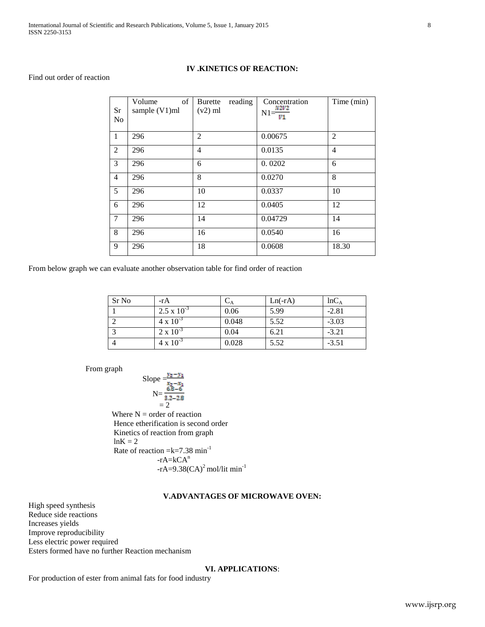## **IV .KINETICS OF REACTION:**

## Find out order of reaction

| Sr<br>N <sub>o</sub> | of<br>Volume<br>sample (V1)ml | <b>Burette</b><br>reading<br>$(v2)$ ml | Concentration<br>$N1 = \frac{N2V2}{V1}$ | Time (min)     |
|----------------------|-------------------------------|----------------------------------------|-----------------------------------------|----------------|
| $\mathbf{1}$         | 296                           | $\overline{2}$                         | 0.00675                                 | $\overline{2}$ |
| 2                    | 296                           | 4                                      | 0.0135                                  | $\overline{4}$ |
| 3                    | 296                           | 6                                      | 0.0202                                  | 6              |
| $\overline{4}$       | 296                           | 8                                      | 0.0270                                  | 8              |
| 5                    | 296                           | 10                                     | 0.0337                                  | 10             |
| 6                    | 296                           | 12                                     | 0.0405                                  | 12             |
| $\overline{7}$       | 296                           | 14                                     | 0.04729                                 | 14             |
| 8                    | 296                           | 16                                     | 0.0540                                  | 16             |
| 9                    | 296                           | 18                                     | 0.0608                                  | 18.30          |

From below graph we can evaluate another observation table for find order of reaction

| Sr No | $-rA$                | $\mathsf{L}_\mathsf{A}$ | $Ln(-rA)$ | $lnC_A$ |
|-------|----------------------|-------------------------|-----------|---------|
|       | $2.5 \times 10^{-3}$ | 0.06                    | 5.99      | $-2.81$ |
|       | $4 \times 10^{-3}$   | 0.048                   | 5.52      | $-3.03$ |
|       | $2 \times 10^{-3}$   | 0.04                    | 6.21      | $-3.21$ |
|       | $4 \times 10^{-3}$   | 0.028                   | 5.52      | $-3.51$ |

From graph

Slope 
$$
\frac{y_2 - y_1}{x_2 - x_1}
$$
  
N =  $\frac{6.8 - 6}{3.2 - 2.8}$   
= 2

Where  $N =$  order of reaction Hence etherification is second order Kinetics of reaction from graph  $ln K = 2$ Rate of reaction  $=k=7.38$  min<sup>-1</sup>  $-rA=kCA<sup>n</sup>$  $-rA=9.38(CA)^2$  mol/lit min<sup>-1</sup>

# **V.ADVANTAGES OF MICROWAVE OVEN:**

High speed synthesis Reduce side reactions Increases yields Improve reproducibility Less electric power required Esters formed have no further Reaction mechanism

## **VI. APPLICATIONS**:

For production of ester from animal fats for food industry